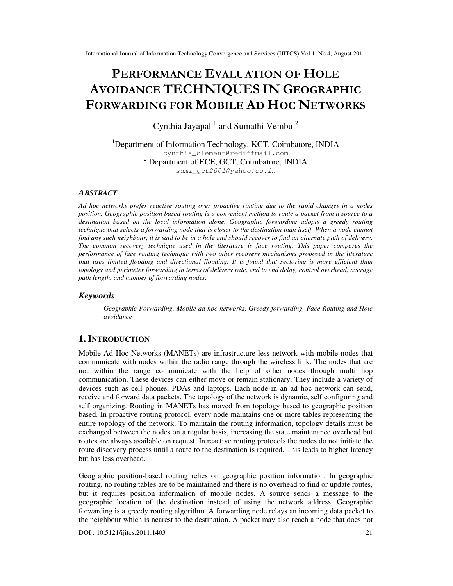# PERFORMANCE EVALUATION OF HOLE AVOIDANCE TECHNIQUES IN GEOGRAPHIC FORWARDING FOR MOBILE AD HOC NETWORKS

Cynthia Jayapal  $^1$  and Sumathi Vembu  $^2$ 

<sup>1</sup>Department of Information Technology, KCT, Coimbatore, INDIA cynthia\_clement@rediffmail.com <sup>2</sup> Department of ECE, GCT, Coimbatore, INDIA sumi\_gct2001@yahoo.co.in

#### *ABSTRACT*

*Ad hoc networks prefer reactive routing over proactive routing due to the rapid changes in a nodes position. Geographic position based routing is a convenient method to route a packet from a source to a destination based on the local information alone. Geographic forwarding adopts a greedy routing technique that selects a forwarding node that is closer to the destination than itself. When a node cannot find any such neighbour, it is said to be in a hole and should recover to find an alternate path of delivery. The common recovery technique used in the literature is face routing. This paper compares the performance of face routing technique with two other recovery mechanisms proposed in the literature that uses limited flooding and directional flooding. It is found that sectoring is more efficient than topology and perimeter forwarding in terms of delivery rate, end to end delay, control overhead, average path length, and number of forwarding nodes.* 

#### *Keywords*

*Geographic Forwarding, Mobile ad hoc networks, Greedy forwarding, Face Routing and Hole avoidance* 

# **1. INTRODUCTION**

Mobile Ad Hoc Networks (MANETs) are infrastructure less network with mobile nodes that communicate with nodes within the radio range through the wireless link. The nodes that are not within the range communicate with the help of other nodes through multi hop communication. These devices can either move or remain stationary. They include a variety of devices such as cell phones, PDAs and laptops. Each node in an ad hoc network can send, receive and forward data packets. The topology of the network is dynamic, self configuring and self organizing. Routing in MANETs has moved from topology based to geographic position based. In proactive routing protocol, every node maintains one or more tables representing the entire topology of the network. To maintain the routing information, topology details must be exchanged between the nodes on a regular basis, increasing the state maintenance overhead but routes are always available on request. In reactive routing protocols the nodes do not initiate the route discovery process until a route to the destination is required. This leads to higher latency but has less overhead.

Geographic position-based routing relies on geographic position information. In geographic routing, no routing tables are to be maintained and there is no overhead to find or update routes, but it requires position information of mobile nodes. A source sends a message to the geographic location of the destination instead of using the network address. Geographic forwarding is a greedy routing algorithm. A forwarding node relays an incoming data packet to the neighbour which is nearest to the destination. A packet may also reach a node that does not

DOI : 10.5121/ijitcs.2011.1403 21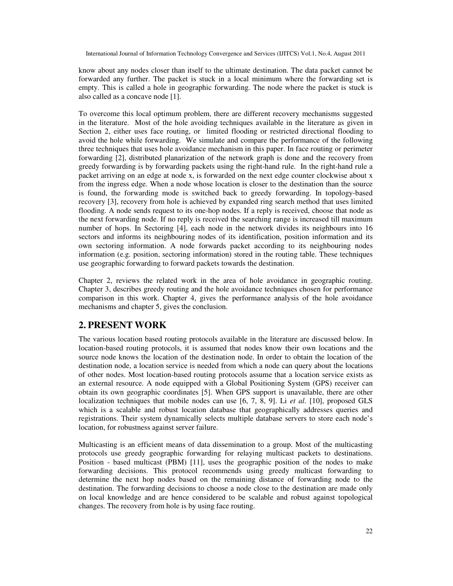know about any nodes closer than itself to the ultimate destination. The data packet cannot be forwarded any further. The packet is stuck in a local minimum where the forwarding set is empty. This is called a hole in geographic forwarding. The node where the packet is stuck is also called as a concave node [1].

To overcome this local optimum problem, there are different recovery mechanisms suggested in the literature. Most of the hole avoiding techniques available in the literature as given in Section 2, either uses face routing, or limited flooding or restricted directional flooding to avoid the hole while forwarding. We simulate and compare the performance of the following three techniques that uses hole avoidance mechanism in this paper. In face routing or perimeter forwarding [2], distributed planarization of the network graph is done and the recovery from greedy forwarding is by forwarding packets using the right-hand rule. In the right-hand rule a packet arriving on an edge at node x, is forwarded on the next edge counter clockwise about x from the ingress edge. When a node whose location is closer to the destination than the source is found, the forwarding mode is switched back to greedy forwarding. In topology-based recovery [3], recovery from hole is achieved by expanded ring search method that uses limited flooding. A node sends request to its one-hop nodes. If a reply is received, choose that node as the next forwarding node. If no reply is received the searching range is increased till maximum number of hops. In Sectoring [4], each node in the network divides its neighbours into 16 sectors and informs its neighbouring nodes of its identification, position information and its own sectoring information. A node forwards packet according to its neighbouring nodes information (e.g. position, sectoring information) stored in the routing table. These techniques use geographic forwarding to forward packets towards the destination.

Chapter 2, reviews the related work in the area of hole avoidance in geographic routing. Chapter 3, describes greedy routing and the hole avoidance techniques chosen for performance comparison in this work. Chapter 4, gives the performance analysis of the hole avoidance mechanisms and chapter 5, gives the conclusion.

# **2. PRESENT WORK**

The various location based routing protocols available in the literature are discussed below. In location-based routing protocols, it is assumed that nodes know their own locations and the source node knows the location of the destination node. In order to obtain the location of the destination node, a location service is needed from which a node can query about the locations of other nodes. Most location-based routing protocols assume that a location service exists as an external resource. A node equipped with a Global Positioning System (GPS) receiver can obtain its own geographic coordinates [5]. When GPS support is unavailable, there are other localization techniques that mobile nodes can use [6, 7, 8, 9]. Li *et al.* [10], proposed GLS which is a scalable and robust location database that geographically addresses queries and registrations. Their system dynamically selects multiple database servers to store each node's location, for robustness against server failure.

Multicasting is an efficient means of data dissemination to a group. Most of the multicasting protocols use greedy geographic forwarding for relaying multicast packets to destinations. Position - based multicast (PBM) [11], uses the geographic position of the nodes to make forwarding decisions. This protocol recommends using greedy multicast forwarding to determine the next hop nodes based on the remaining distance of forwarding node to the destination. The forwarding decisions to choose a node close to the destination are made only on local knowledge and are hence considered to be scalable and robust against topological changes. The recovery from hole is by using face routing.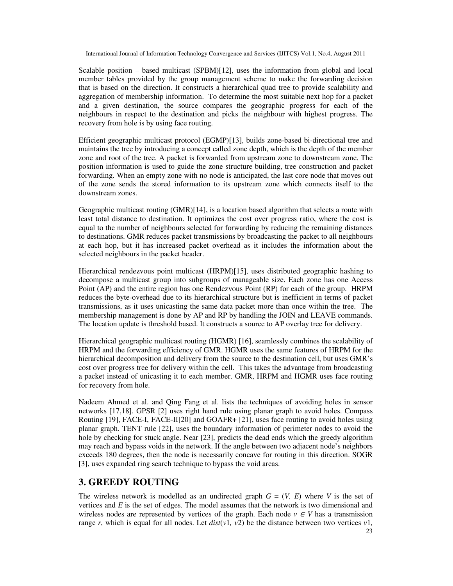Scalable position – based multicast (SPBM)[12], uses the information from global and local member tables provided by the group management scheme to make the forwarding decision that is based on the direction. It constructs a hierarchical quad tree to provide scalability and aggregation of membership information. To determine the most suitable next hop for a packet and a given destination, the source compares the geographic progress for each of the neighbours in respect to the destination and picks the neighbour with highest progress. The recovery from hole is by using face routing.

Efficient geographic multicast protocol (EGMP)[13], builds zone-based bi-directional tree and maintains the tree by introducing a concept called zone depth, which is the depth of the member zone and root of the tree. A packet is forwarded from upstream zone to downstream zone. The position information is used to guide the zone structure building, tree construction and packet forwarding. When an empty zone with no node is anticipated, the last core node that moves out of the zone sends the stored information to its upstream zone which connects itself to the downstream zones.

Geographic multicast routing (GMR)[14], is a location based algorithm that selects a route with least total distance to destination. It optimizes the cost over progress ratio, where the cost is equal to the number of neighbours selected for forwarding by reducing the remaining distances to destinations. GMR reduces packet transmissions by broadcasting the packet to all neighbours at each hop, but it has increased packet overhead as it includes the information about the selected neighbours in the packet header.

Hierarchical rendezvous point multicast (HRPM)[15], uses distributed geographic hashing to decompose a multicast group into subgroups of manageable size. Each zone has one Access Point (AP) and the entire region has one Rendezvous Point (RP) for each of the group. HRPM reduces the byte-overhead due to its hierarchical structure but is inefficient in terms of packet transmissions, as it uses unicasting the same data packet more than once within the tree. The membership management is done by AP and RP by handling the JOIN and LEAVE commands. The location update is threshold based. It constructs a source to AP overlay tree for delivery.

Hierarchical geographic multicast routing (HGMR) [16], seamlessly combines the scalability of HRPM and the forwarding efficiency of GMR. HGMR uses the same features of HRPM for the hierarchical decomposition and delivery from the source to the destination cell, but uses GMR's cost over progress tree for delivery within the cell. This takes the advantage from broadcasting a packet instead of unicasting it to each member. GMR, HRPM and HGMR uses face routing for recovery from hole.

Nadeem Ahmed et al. and Qing Fang et al. lists the techniques of avoiding holes in sensor networks [17,18]. GPSR [2] uses right hand rule using planar graph to avoid holes. Compass Routing [19], FACE-I, FACE-II[20] and GOAFR+ [21], uses face routing to avoid holes using planar graph. TENT rule [22], uses the boundary information of perimeter nodes to avoid the hole by checking for stuck angle. Near [23], predicts the dead ends which the greedy algorithm may reach and bypass voids in the network. If the angle between two adjacent node's neighbors exceeds 180 degrees, then the node is necessarily concave for routing in this direction. SOGR [3], uses expanded ring search technique to bypass the void areas.

# **3. GREEDY ROUTING**

The wireless network is modelled as an undirected graph  $G = (V, E)$  where V is the set of vertices and *E* is the set of edges. The model assumes that the network is two dimensional and wireless nodes are represented by vertices of the graph. Each node  $v \in V$  has a transmission range r, which is equal for all nodes. Let  $dist(v1, v2)$  be the distance between two vertices  $v1$ ,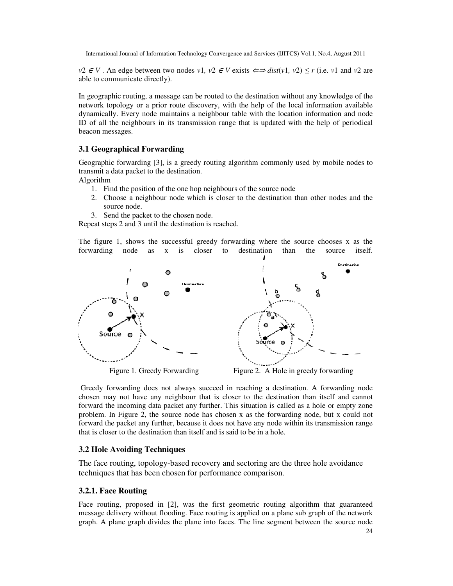*v*2 ∈ *V*. An edge between two nodes *v*1*, v*<sub>2</sub> ∈ *V* exists  $\Leftarrow$  ⇒ dist(*v*1*, v*<sub>2</sub>) ≤ *r* (i.e. *v*1 and *v*<sub>2</sub> are able to communicate directly).

In geographic routing, a message can be routed to the destination without any knowledge of the network topology or a prior route discovery, with the help of the local information available dynamically. Every node maintains a neighbour table with the location information and node ID of all the neighbours in its transmission range that is updated with the help of periodical beacon messages.

## **3.1 Geographical Forwarding**

Geographic forwarding [3], is a greedy routing algorithm commonly used by mobile nodes to transmit a data packet to the destination.

Algorithm

- 1. Find the position of the one hop neighbours of the source node
- 2. Choose a neighbour node which is closer to the destination than other nodes and the source node.
- 3. Send the packet to the chosen node.

Repeat steps 2 and 3 until the destination is reached.

The figure 1, shows the successful greedy forwarding where the source chooses x as the forwarding node as x is closer to destination than the source itself.



Figure 1. Greedy Forwarding Figure 2. A Hole in greedy forwarding

 Greedy forwarding does not always succeed in reaching a destination. A forwarding node chosen may not have any neighbour that is closer to the destination than itself and cannot forward the incoming data packet any further. This situation is called as a hole or empty zone problem. In Figure 2, the source node has chosen x as the forwarding node, but x could not forward the packet any further, because it does not have any node within its transmission range that is closer to the destination than itself and is said to be in a hole.

## **3.2 Hole Avoiding Techniques**

The face routing, topology-based recovery and sectoring are the three hole avoidance techniques that has been chosen for performance comparison.

## **3.2.1. Face Routing**

Face routing, proposed in [2], was the first geometric routing algorithm that guaranteed message delivery without flooding. Face routing is applied on a plane sub graph of the network graph. A plane graph divides the plane into faces. The line segment between the source node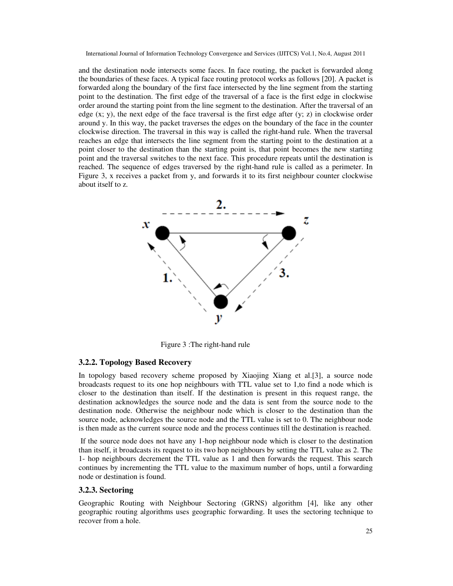and the destination node intersects some faces. In face routing, the packet is forwarded along the boundaries of these faces. A typical face routing protocol works as follows [20]. A packet is forwarded along the boundary of the first face intersected by the line segment from the starting point to the destination. The first edge of the traversal of a face is the first edge in clockwise order around the starting point from the line segment to the destination. After the traversal of an edge  $(x; y)$ , the next edge of the face traversal is the first edge after  $(y; z)$  in clockwise order around y. In this way, the packet traverses the edges on the boundary of the face in the counter clockwise direction. The traversal in this way is called the right-hand rule. When the traversal reaches an edge that intersects the line segment from the starting point to the destination at a point closer to the destination than the starting point is, that point becomes the new starting point and the traversal switches to the next face. This procedure repeats until the destination is reached. The sequence of edges traversed by the right-hand rule is called as a perimeter. In Figure 3, x receives a packet from y, and forwards it to its first neighbour counter clockwise about itself to z.



Figure 3 :The right-hand rule

#### **3.2.2. Topology Based Recovery**

In topology based recovery scheme proposed by Xiaojing Xiang et al.[3], a source node broadcasts request to its one hop neighbours with TTL value set to 1,to find a node which is closer to the destination than itself. If the destination is present in this request range, the destination acknowledges the source node and the data is sent from the source node to the destination node. Otherwise the neighbour node which is closer to the destination than the source node, acknowledges the source node and the TTL value is set to 0. The neighbour node is then made as the current source node and the process continues till the destination is reached.

 If the source node does not have any 1-hop neighbour node which is closer to the destination than itself, it broadcasts its request to its two hop neighbours by setting the TTL value as 2. The 1- hop neighbours decrement the TTL value as 1 and then forwards the request. This search continues by incrementing the TTL value to the maximum number of hops, until a forwarding node or destination is found.

#### **3.2.3. Sectoring**

Geographic Routing with Neighbour Sectoring (GRNS) algorithm [4], like any other geographic routing algorithms uses geographic forwarding. It uses the sectoring technique to recover from a hole.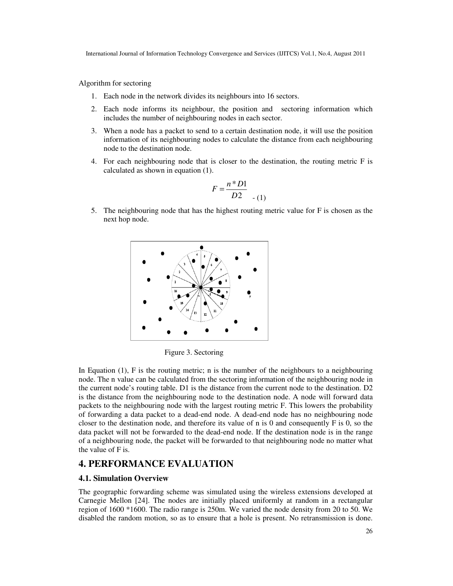Algorithm for sectoring

- 1. Each node in the network divides its neighbours into 16 sectors.
- 2. Each node informs its neighbour, the position and sectoring information which includes the number of neighbouring nodes in each sector.
- 3. When a node has a packet to send to a certain destination node, it will use the position information of its neighbouring nodes to calculate the distance from each neighbouring node to the destination node.
- 4. For each neighbouring node that is closer to the destination, the routing metric F is calculated as shown in equation (1).

$$
F = \frac{n \cdot D1}{D2}
$$

 $\left( \frac{1}{2} \right)$ 

5. The neighbouring node that has the highest routing metric value for F is chosen as the next hop node.



Figure 3. Sectoring

In Equation  $(1)$ , F is the routing metric; n is the number of the neighbours to a neighbouring node. The n value can be calculated from the sectoring information of the neighbouring node in the current node's routing table. D1 is the distance from the current node to the destination. D2 is the distance from the neighbouring node to the destination node. A node will forward data packets to the neighbouring node with the largest routing metric F. This lowers the probability of forwarding a data packet to a dead-end node. A dead-end node has no neighbouring node closer to the destination node, and therefore its value of  $n$  is 0 and consequently  $F$  is 0, so the data packet will not be forwarded to the dead-end node. If the destination node is in the range of a neighbouring node, the packet will be forwarded to that neighbouring node no matter what the value of F is.

# **4. PERFORMANCE EVALUATION**

#### **4.1. Simulation Overview**

The geographic forwarding scheme was simulated using the wireless extensions developed at Carnegie Mellon [24]. The nodes are initially placed uniformly at random in a rectangular region of 1600 \*1600. The radio range is 250m. We varied the node density from 20 to 50. We disabled the random motion, so as to ensure that a hole is present. No retransmission is done.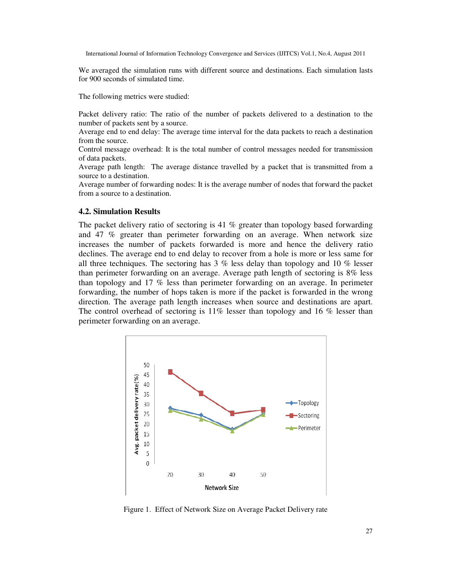We averaged the simulation runs with different source and destinations. Each simulation lasts for 900 seconds of simulated time.

The following metrics were studied:

Packet delivery ratio: The ratio of the number of packets delivered to a destination to the number of packets sent by a source.

Average end to end delay: The average time interval for the data packets to reach a destination from the source.

Control message overhead: It is the total number of control messages needed for transmission of data packets.

Average path length: The average distance travelled by a packet that is transmitted from a source to a destination.

Average number of forwarding nodes: It is the average number of nodes that forward the packet from a source to a destination.

# **4.2. Simulation Results**

The packet delivery ratio of sectoring is 41 % greater than topology based forwarding and 47 % greater than perimeter forwarding on an average. When network size increases the number of packets forwarded is more and hence the delivery ratio declines. The average end to end delay to recover from a hole is more or less same for all three techniques. The sectoring has  $3\%$  less delay than topology and  $10\%$  lesser than perimeter forwarding on an average. Average path length of sectoring is 8% less than topology and 17 % less than perimeter forwarding on an average. In perimeter forwarding, the number of hops taken is more if the packet is forwarded in the wrong direction. The average path length increases when source and destinations are apart. The control overhead of sectoring is  $11\%$  lesser than topology and 16 % lesser than perimeter forwarding on an average.



Figure 1. Effect of Network Size on Average Packet Delivery rate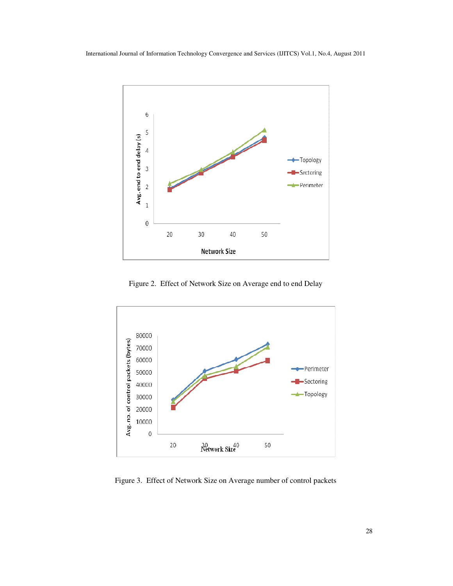

Figure 2. Effect of Network Size on Average end to end Delay



Figure 3. Effect of Network Size on Average number of control packets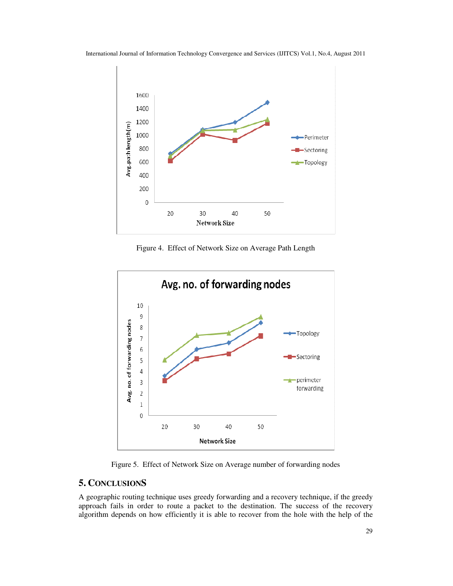



Figure 4. Effect of Network Size on Average Path Length



Figure 5. Effect of Network Size on Average number of forwarding nodes

# **5. CONCLUSIONS**

A geographic routing technique uses greedy forwarding and a recovery technique, if the greedy approach fails in order to route a packet to the destination. The success of the recovery algorithm depends on how efficiently it is able to recover from the hole with the help of the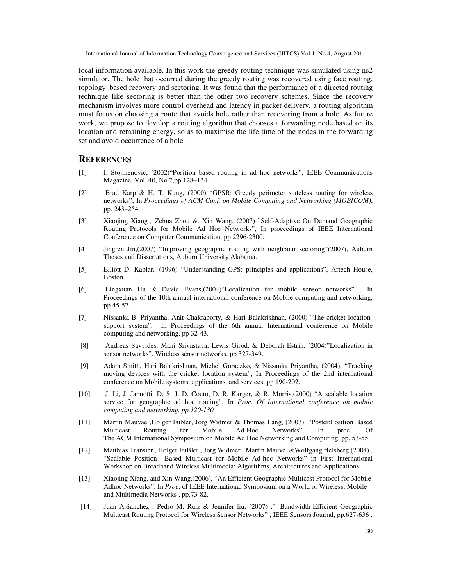local information available. In this work the greedy routing technique was simulated using ns2 simulator. The hole that occurred during the greedy routing was recovered using face routing, topology–based recovery and sectoring. It was found that the performance of a directed routing technique like sectoring is better than the other two recovery schemes. Since the recovery mechanism involves more control overhead and latency in packet delivery, a routing algorithm must focus on choosing a route that avoids hole rather than recovering from a hole. As future work, we propose to develop a routing algorithm that chooses a forwarding node based on its location and remaining energy, so as to maximise the life time of the nodes in the forwarding set and avoid occurrence of a hole.

# **REFERENCES**

- [1] I. Stojmenovic, (2002)"Position based routing in ad hoc networks", IEEE Communications Magazine, Vol. 40, No.7,pp 128–134.
- [2] Brad Karp & H. T. Kung, (2000) "GPSR: Greedy perimeter stateless routing for wireless networks", In *Proceedings of ACM Conf. on Mobile Computing and Networking (MOBICOM)*, pp. 243–254.
- [3]Xiaojing Xiang *,* Zehua Zhou *&,* Xin Wang, (2007) "Self-Adaptive On Demand Geographic Routing Protocols for Mobile Ad Hoc Networks", In proceedings of IEEE International Conference on Computer Communication, pp 2296-2300.
- [4**]** Jingren Jin,(2007) "Improving geographic routing with neighbour sectoring"(2007), Auburn Theses and Dissertations, Auburn University Alabama.
- [5] Elliott D. Kaplan, (1996) "Understanding GPS: principles and applications", Artech House, Boston.
- [6] Lingxuan Hu & David Evans,(2004)"Localization for mobile sensor networks" , In Proceedings of the 10th annual international conference on Mobile computing and networking, pp 45-57.
- [7] Nissanka B. Priyantha, Anit Chakraborty, & Hari Balakrishnan, (2000) "The cricket locationsupport system", In Proceedings of the 6th annual International conference on Mobile computing and networking, pp 32-43.
- [8] Andreas Savvides, Mani Srivastava, Lewis Girod, & Deborah Estrin, (2004)"Localization in sensor networks". Wireless sensor networks, pp 327-349.
- [9] Adam Smith, Hari Balakrishnan, Michel Goraczko, & Nissanka Priyantha, (2004), "Tracking moving devices with the cricket location system", In Proceedings of the 2nd international conference on Mobile systems, applications, and services, pp 190-202.
- [10] J. Li, J. Jannotti, D. S. J. D. Couto, D. R. Karger, & R. Morris,(2000) "A scalable location service for geographic ad hoc routing", In *Proc. Of International conference on mobile computing and networking. pp.120-130.*
- [11] Martin Mauvae ,Holger Fubler, Jorg Widmer & Thomas Lang, (2003), "Poster:Position Based Multicast Routing for Mobile Ad-Hoc Networks", In proc. Of The ACM International Symposium on Mobile Ad Hoc Networking and Computing, pp. 53-55.
- [12] Matthias Transier , Holger FuBler , Jorg Widmer , Martin Mauve &Wolfgang ffelsberg (2004) , "Scalable Position –Based Multicast for Mobile Ad-hoc Networks" in First International Workshop on Broadband Wireless Multimedia: Algorithms, Architectures and Applications.
- [13] Xiaojing Xiang, and Xin Wang,(2006), "An Efficient Geographic Multicast Protocol for Mobile Adhoc Networks", In *Proc*. of IEEE International Symposium on a World of Wireless, Mobile and Multimedia Networks , pp.73-82.
- [14] Juan A.Sanchez , Pedro M. Ruiz & Jennifer liu, (2007) ," Bandwidth-Efficient Geographic Multicast Routing Protocol for Wireless Sensor Networks" , IEEE Sensors Journal, pp.627-636 .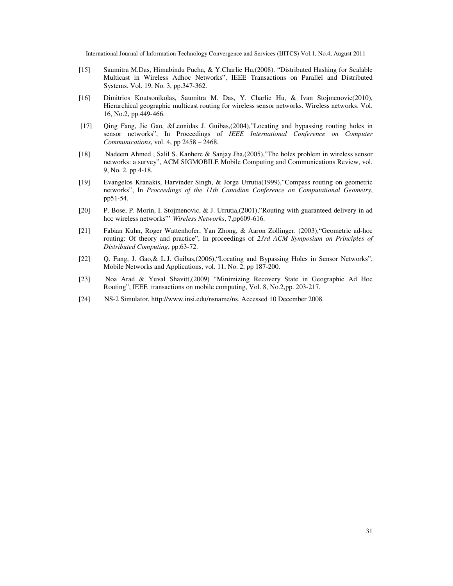- [15] Saumitra M.Das, Himabindu Pucha, & Y.Charlie Hu,(2008). "Distributed Hashing for Scalable Multicast in Wireless Adhoc Networks", IEEE Transactions on Parallel and Distributed Systems. Vol. 19, No. 3, pp.347-362.
- [16] Dimitrios Koutsonikolas, Saumitra M. Das, Y. Charlie Hu, & Ivan Stojmenovic(2010), Hierarchical geographic multicast routing for wireless sensor networks. Wireless networks. Vol. 16, No.2, pp.449-466.
- [17] Qing Fang, Jie Gao, &Leonidas J. Guibas,(2004),"Locating and bypassing routing holes in sensor networks", In Proceedings of *IEEE International Conference on Computer Communications*, vol. 4, pp 2458 – 2468.
- [18] Nadeem Ahmed , Salil S. Kanhere & Sanjay Jha,(2005),"The holes problem in wireless sensor networks: a survey", ACM SIGMOBILE Mobile Computing and Communications Review, vol. 9, No. 2, pp 4-18.
- [19] Evangelos Kranakis, Harvinder Singh, & Jorge Urrutia(1999),"Compass routing on geometric networks", In *Proceedings of the 11th Canadian Conference on Computational Geometry*, pp51-54.
- [20] P. Bose, P. Morin, I. Stojmenovic, & J. Urrutia,(2001),"Routing with guaranteed delivery in ad hoc wireless networks"' *Wireless Networks*, 7,pp609-616.
- [21] Fabian Kuhn, Roger Wattenhofer, Yan Zhong, & Aaron Zollinger. (2003),"Geometric ad-hoc routing: Of theory and practice", In proceedings of *23rd ACM Symposium on Principles of Distributed Computing*, pp.63-72.
- [22] Q. Fang, J. Gao,& L.J. Guibas,(2006),"Locating and Bypassing Holes in Sensor Networks", Mobile Networks and Applications, vol. 11, No. 2, pp 187-200.
- [23] Noa Arad & Yuval Shavitt,(2009) "Minimizing Recovery State in Geographic Ad Hoc Routing", IEEE transactions on mobile computing, Vol. 8, No.2,pp. 203-217.
- [24] NS-2 Simulator, http://www.insi.edu/nsname/ns. Accessed 10 December 2008.